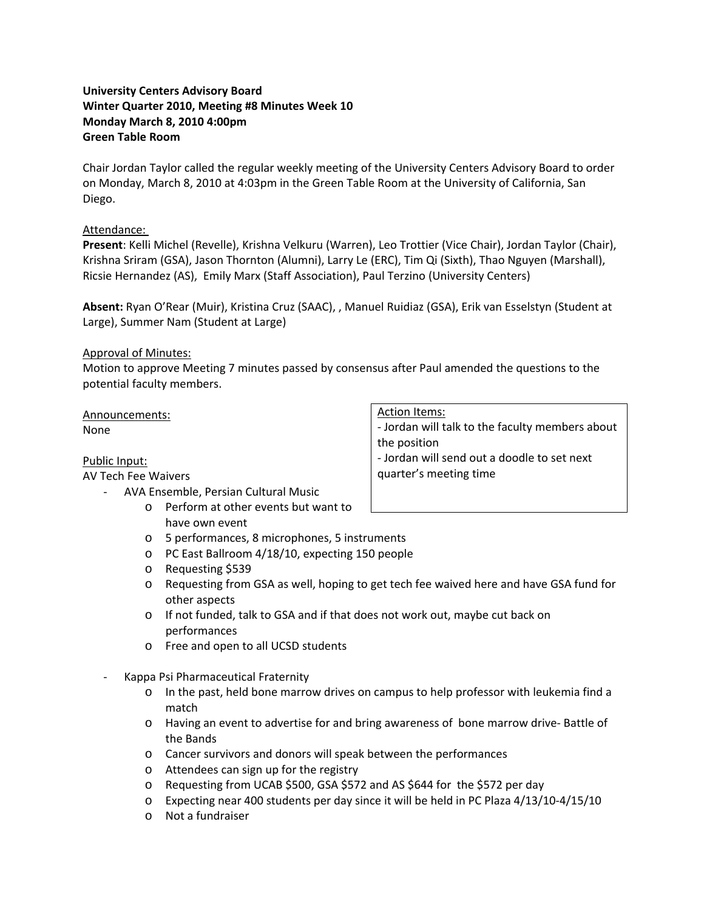# **University Centers Advisory Board Winter Quarter 2010, Meeting #8 Minutes Week 10 Monday March 8, 2010 4:00pm Green Table Room**

Chair Jordan Taylor called the regular weekly meeting of the University Centers Advisory Board to order on Monday, March 8, 2010 at 4:03pm in the Green Table Room at the University of California, San Diego.

# Attendance:

**Present**: Kelli Michel (Revelle), Krishna Velkuru (Warren), Leo Trottier (Vice Chair), Jordan Taylor (Chair), Krishna Sriram (GSA), Jason Thornton (Alumni), Larry Le (ERC), Tim Qi (Sixth), Thao Nguyen (Marshall), Ricsie Hernandez (AS), Emily Marx (Staff Association), Paul Terzino (University Centers)

**Absent:** Ryan O'Rear (Muir), Kristina Cruz (SAAC), , Manuel Ruidiaz (GSA), Erik van Esselstyn (Student at Large), Summer Nam (Student at Large)

# Approval of Minutes:

Motion to approve Meeting 7 minutes passed by consensus after Paul amended the questions to the potential faculty members.

Announcements: None

Public Input:

# AV Tech Fee Waivers

- ‐ AVA Ensemble, Persian Cultural Music
	- o Perform at other events but want to have own event
	- o 5 performances, 8 microphones, 5 instruments
	- o PC East Ballroom 4/18/10, expecting 150 people
	- o Requesting \$539
	- o Requesting from GSA as well, hoping to get tech fee waived here and have GSA fund for other aspects
	- o If not funded, talk to GSA and if that does not work out, maybe cut back on performances
	- o Free and open to all UCSD students
- ‐ Kappa Psi Pharmaceutical Fraternity
	- o In the past, held bone marrow drives on campus to help professor with leukemia find a match
	- o Having an event to advertise for and bring awareness of bone marrow drive‐ Battle of the Bands
	- o Cancer survivors and donors will speak between the performances
	- o Attendees can sign up for the registry
	- o Requesting from UCAB \$500, GSA \$572 and AS \$644 for the \$572 per day
	- o Expecting near 400 students per day since it will be held in PC Plaza 4/13/10‐4/15/10
	- o Not a fundraiser

Action Items:

‐ Jordan will talk to the faculty members about the position ‐ Jordan will send out a doodle to set next

quarter's meeting time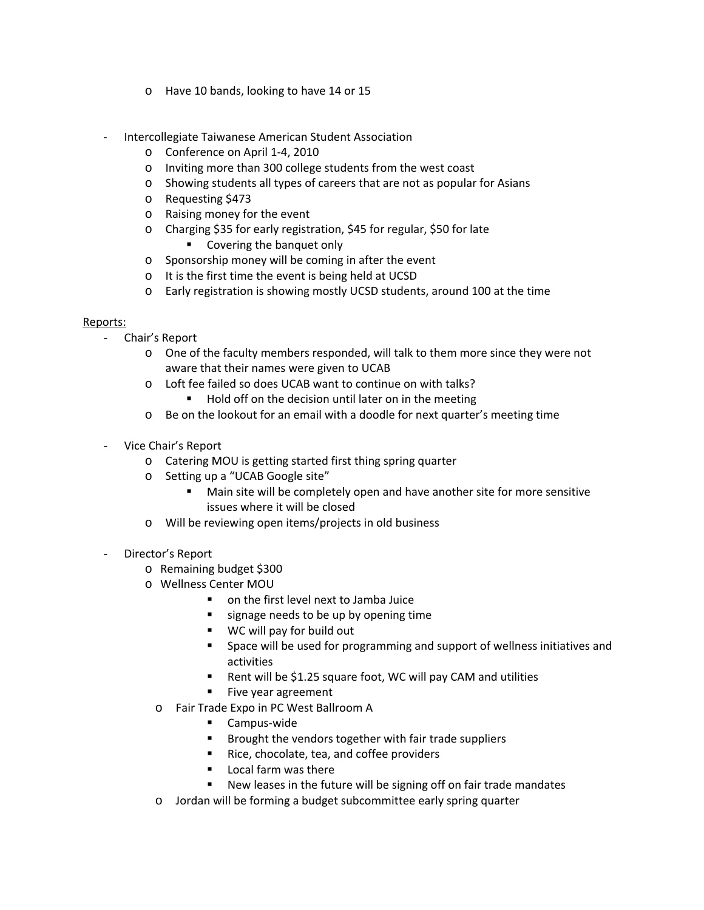- o Have 10 bands, looking to have 14 or 15
- ‐ Intercollegiate Taiwanese American Student Association
	- o Conference on April 1‐4, 2010
	- o Inviting more than 300 college students from the west coast
	- o Showing students all types of careers that are not as popular for Asians
	- o Requesting \$473
	- o Raising money for the event
	- o Charging \$35 for early registration, \$45 for regular, \$50 for late **Covering the banquet only**
	- o Sponsorship money will be coming in after the event
	- o It is the first time the event is being held at UCSD
	- o Early registration is showing mostly UCSD students, around 100 at the time

### Reports:

- Chair's Report
	- o One of the faculty members responded, will talk to them more since they were not aware that their names were given to UCAB
	- o Loft fee failed so does UCAB want to continue on with talks?
		- Hold off on the decision until later on in the meeting
	- o Be on the lookout for an email with a doodle for next quarter's meeting time
- Vice Chair's Report
	- o Catering MOU is getting started first thing spring quarter
	- o Setting up a "UCAB Google site"
		- Main site will be completely open and have another site for more sensitive issues where it will be closed
	- o Will be reviewing open items/projects in old business
- Director's Report
	- o Remaining budget \$300
	- o Wellness Center MOU
		- on the first level next to Jamba Juice
		- signage needs to be up by opening time
		- WC will pay for build out
		- Space will be used for programming and support of wellness initiatives and activities
		- Rent will be \$1.25 square foot, WC will pay CAM and utilities
		- **Five year agreement**
		- o Fair Trade Expo in PC West Ballroom A
			- Campus-wide
			- **Brought the vendors together with fair trade suppliers**
			- Rice, chocolate, tea, and coffee providers
			- **Local farm was there**
			- New leases in the future will be signing off on fair trade mandates
		- o Jordan will be forming a budget subcommittee early spring quarter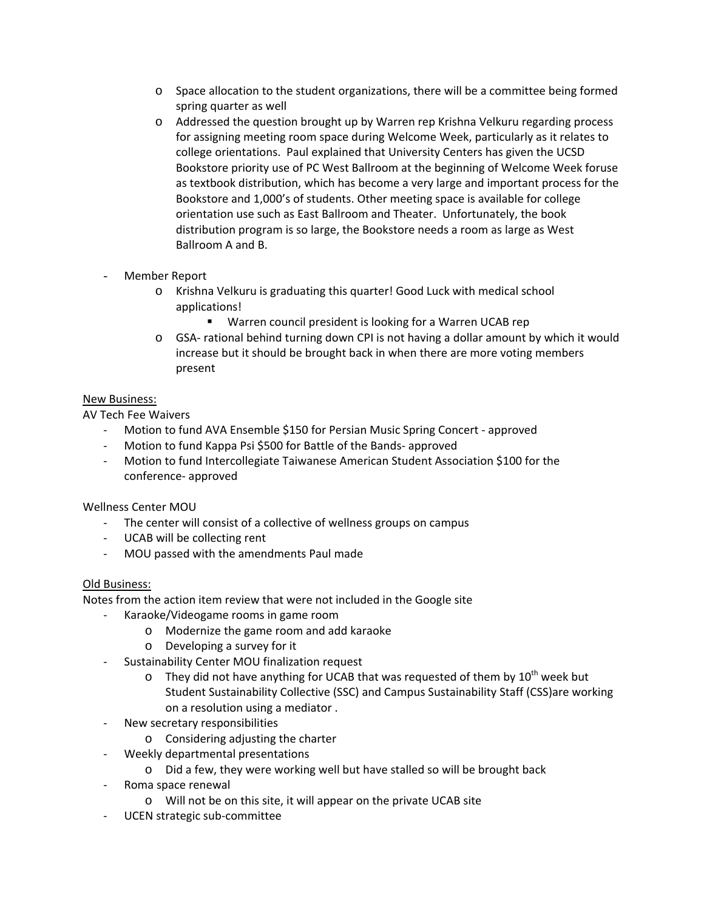- o Space allocation to the student organizations, there will be a committee being formed spring quarter as well
- o Addressed the question brought up by Warren rep Krishna Velkuru regarding process for assigning meeting room space during Welcome Week, particularly as it relates to college orientations. Paul explained that University Centers has given the UCSD Bookstore priority use of PC West Ballroom at the beginning of Welcome Week foruse as textbook distribution, which has become a very large and important process for the Bookstore and 1,000's of students. Other meeting space is available for college orientation use such as East Ballroom and Theater. Unfortunately, the book distribution program is so large, the Bookstore needs a room as large as West Ballroom A and B.
- Member Report
	- o Krishna Velkuru is graduating this quarter! Good Luck with medical school applications!
		- Warren council president is looking for a Warren UCAB rep
	- o GSA‐ rational behind turning down CPI is not having a dollar amount by which it would increase but it should be brought back in when there are more voting members present

# New Business:

AV Tech Fee Waivers

- ‐ Motion to fund AVA Ensemble \$150 for Persian Music Spring Concert ‐ approved
- ‐ Motion to fund Kappa Psi \$500 for Battle of the Bands‐ approved
- ‐ Motion to fund Intercollegiate Taiwanese American Student Association \$100 for the conference‐ approved

Wellness Center MOU

- ‐ The center will consist of a collective of wellness groups on campus
- ‐ UCAB will be collecting rent
- ‐ MOU passed with the amendments Paul made

# Old Business:

Notes from the action item review that were not included in the Google site

- ‐ Karaoke/Videogame rooms in game room
	- o Modernize the game room and add karaoke
	- o Developing a survey for it
- ‐ Sustainability Center MOU finalization request
	- $\circ$  They did not have anything for UCAB that was requested of them by  $10^{th}$  week but Student Sustainability Collective (SSC) and Campus Sustainability Staff (CSS)are working on a resolution using a mediator .
- ‐ New secretary responsibilities
	- o Considering adjusting the charter
- ‐ Weekly departmental presentations
	- o Did a few, they were working well but have stalled so will be brought back
- ‐ Roma space renewal
	- o Will not be on this site, it will appear on the private UCAB site
- ‐ UCEN strategic sub‐committee